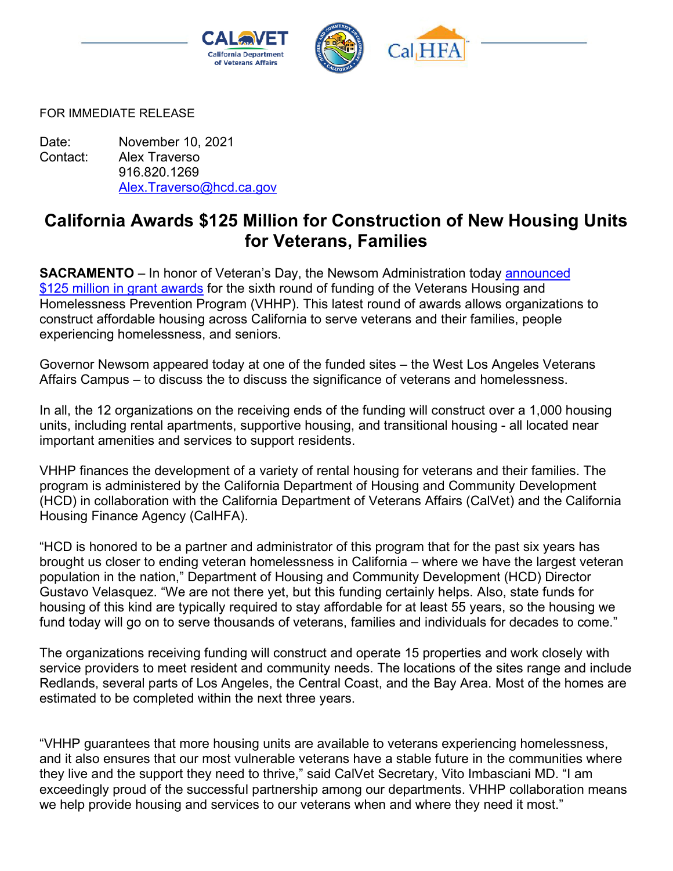

FOR IMMEDIATE RELEASE

Date: November 10, 2021 Contact: Alex Traverso 916.820.1269 [Alex.Traverso@hcd.ca.gov](mailto:Alex.Traverso@hcd.ca.gov)

## **California Awards \$125 Million for Construction of New Housing Units for Veterans, Families**

**SACRAMENTO** – In honor of Veteran's Day, the Newsom Administration today [announced](http://cert1.mail-west.com/TyjaG/gtmyuzjanmc7rmn/mse81nT/qyy/wk4ie/ote81nTqvnqnTwk/adooz5/ccdigsw?_c=d%7Cze7pzanwmhlzgt%7C18rgb5mbbqnvqpp&_ce=1636591167.53dfc848674524fb5692d789d8c0c503)  [\\$125 million in grant](http://cert1.mail-west.com/TyjaG/gtmyuzjanmc7rmn/mse81nT/qyy/wk4ie/ote81nTqvnqnTwk/adooz5/ccdigsw?_c=d%7Cze7pzanwmhlzgt%7C18rgb5mbbqnvqpp&_ce=1636591167.53dfc848674524fb5692d789d8c0c503) awards for the sixth round of funding of the Veterans Housing and Homelessness Prevention Program (VHHP). This latest round of awards allows organizations to construct affordable housing across California to serve veterans and their families, people experiencing homelessness, and seniors.

Governor Newsom appeared today at one of the funded sites – the West Los Angeles Veterans Affairs Campus – to discuss the to discuss the significance of veterans and homelessness.

In all, the 12 organizations on the receiving ends of the funding will construct over a 1,000 housing units, including rental apartments, supportive housing, and transitional housing - all located near important amenities and services to support residents.

VHHP finances the development of a variety of rental housing for veterans and their families. The program is administered by the California Department of Housing and Community Development (HCD) in collaboration with the California Department of Veterans Affairs (CalVet) and the California Housing Finance Agency (CalHFA).

"HCD is honored to be a partner and administrator of this program that for the past six years has brought us closer to ending veteran homelessness in California – where we have the largest veteran population in the nation," Department of Housing and Community Development (HCD) Director Gustavo Velasquez. "We are not there yet, but this funding certainly helps. Also, state funds for housing of this kind are typically required to stay affordable for at least 55 years, so the housing we fund today will go on to serve thousands of veterans, families and individuals for decades to come."

The organizations receiving funding will construct and operate 15 properties and work closely with service providers to meet resident and community needs. The locations of the sites range and include Redlands, several parts of Los Angeles, the Central Coast, and the Bay Area. Most of the homes are estimated to be completed within the next three years.

"VHHP guarantees that more housing units are available to veterans experiencing homelessness, and it also ensures that our most vulnerable veterans have a stable future in the communities where they live and the support they need to thrive," said CalVet Secretary, Vito Imbasciani MD. "I am exceedingly proud of the successful partnership among our departments. VHHP collaboration means we help provide housing and services to our veterans when and where they need it most."